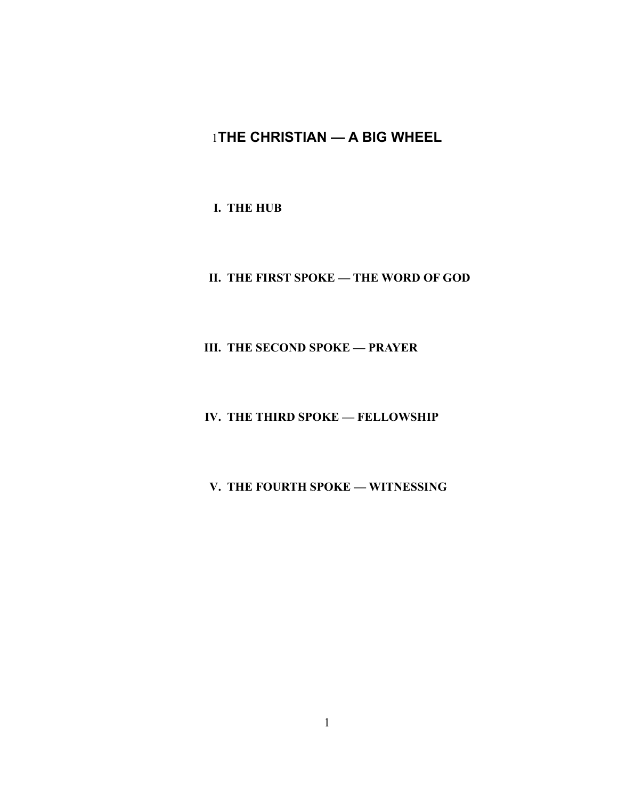# 1**THE CHRISTIAN — A BIG WHEEL**

**I. THE HUB**

**II. THE FIRST SPOKE — THE WORD OF GOD**

**III. THE SECOND SPOKE — PRAYER**

**IV. THE THIRD SPOKE — FELLOWSHIP**

**V. THE FOURTH SPOKE — WITNESSING**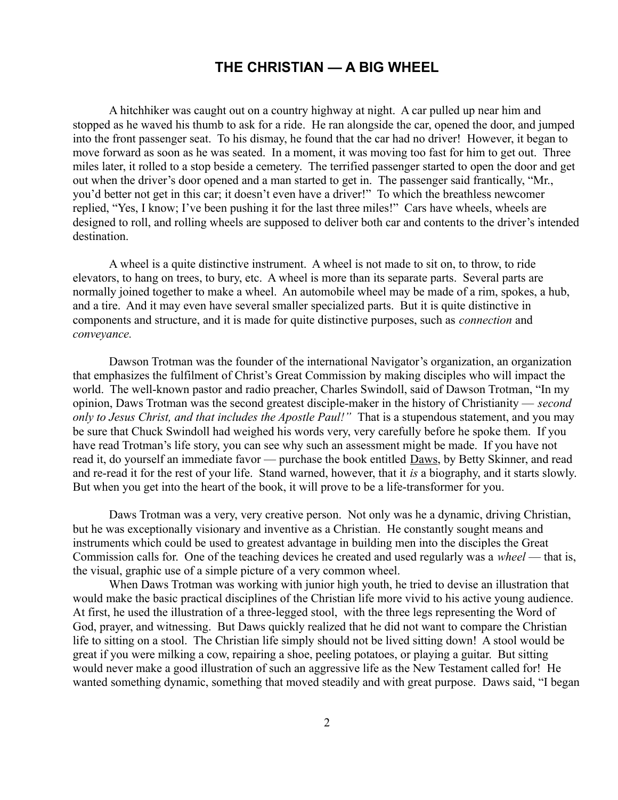## **THE CHRISTIAN — A BIG WHEEL**

A hitchhiker was caught out on a country highway at night. A car pulled up near him and stopped as he waved his thumb to ask for a ride. He ran alongside the car, opened the door, and jumped into the front passenger seat. To his dismay, he found that the car had no driver! However, it began to move forward as soon as he was seated. In a moment, it was moving too fast for him to get out. Three miles later, it rolled to a stop beside a cemetery. The terrified passenger started to open the door and get out when the driver's door opened and a man started to get in. The passenger said frantically, "Mr., you'd better not get in this car; it doesn't even have a driver!" To which the breathless newcomer replied, "Yes, I know; I've been pushing it for the last three miles!" Cars have wheels, wheels are designed to roll, and rolling wheels are supposed to deliver both car and contents to the driver's intended destination.

A wheel is a quite distinctive instrument. A wheel is not made to sit on, to throw, to ride elevators, to hang on trees, to bury, etc. A wheel is more than its separate parts. Several parts are normally joined together to make a wheel. An automobile wheel may be made of a rim, spokes, a hub, and a tire. And it may even have several smaller specialized parts. But it is quite distinctive in components and structure, and it is made for quite distinctive purposes, such as *connection* and *conveyance.*

Dawson Trotman was the founder of the international Navigator's organization, an organization that emphasizes the fulfilment of Christ's Great Commission by making disciples who will impact the world. The well-known pastor and radio preacher, Charles Swindoll, said of Dawson Trotman, "In my opinion, Daws Trotman was the second greatest disciple-maker in the history of Christianity — *second only to Jesus Christ, and that includes the Apostle Paul!"* That is a stupendous statement, and you may be sure that Chuck Swindoll had weighed his words very, very carefully before he spoke them. If you have read Trotman's life story, you can see why such an assessment might be made. If you have not read it, do yourself an immediate favor — purchase the book entitled Daws, by Betty Skinner, and read and re-read it for the rest of your life. Stand warned, however, that it *is* a biography, and it starts slowly. But when you get into the heart of the book, it will prove to be a life-transformer for you.

Daws Trotman was a very, very creative person. Not only was he a dynamic, driving Christian, but he was exceptionally visionary and inventive as a Christian. He constantly sought means and instruments which could be used to greatest advantage in building men into the disciples the Great Commission calls for. One of the teaching devices he created and used regularly was a *wheel* — that is, the visual, graphic use of a simple picture of a very common wheel.

When Daws Trotman was working with junior high youth, he tried to devise an illustration that would make the basic practical disciplines of the Christian life more vivid to his active young audience. At first, he used the illustration of a three-legged stool, with the three legs representing the Word of God, prayer, and witnessing. But Daws quickly realized that he did not want to compare the Christian life to sitting on a stool. The Christian life simply should not be lived sitting down! A stool would be great if you were milking a cow, repairing a shoe, peeling potatoes, or playing a guitar. But sitting would never make a good illustration of such an aggressive life as the New Testament called for! He wanted something dynamic, something that moved steadily and with great purpose. Daws said, "I began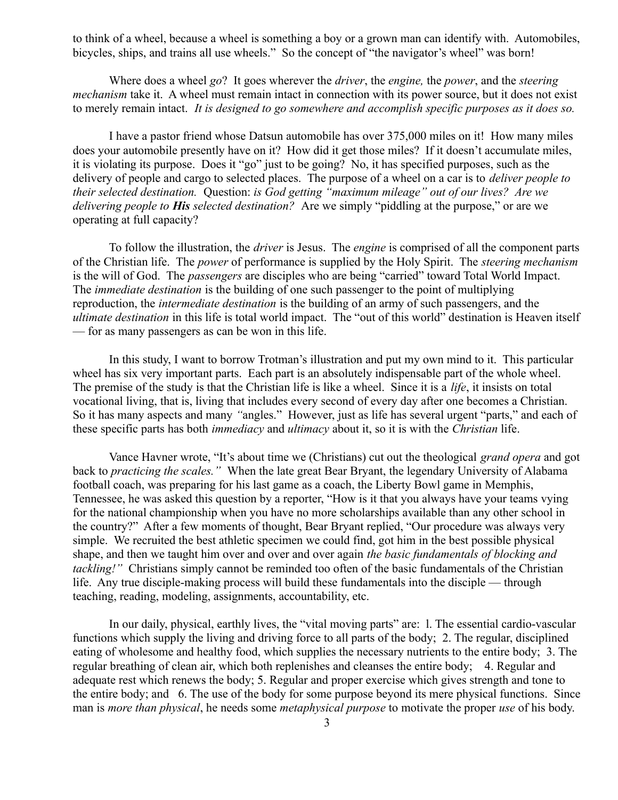to think of a wheel, because a wheel is something a boy or a grown man can identify with. Automobiles, bicycles, ships, and trains all use wheels." So the concept of "the navigator's wheel" was born!

Where does a wheel *go*? It goes wherever the *driver*, the *engine,* the *power*, and the *steering mechanism* take it. A wheel must remain intact in connection with its power source, but it does not exist to merely remain intact. *It is designed to go somewhere and accomplish specific purposes as it does so.*

I have a pastor friend whose Datsun automobile has over 375,000 miles on it! How many miles does your automobile presently have on it? How did it get those miles? If it doesn't accumulate miles, it is violating its purpose. Does it "go" just to be going? No, it has specified purposes, such as the delivery of people and cargo to selected places. The purpose of a wheel on a car is to *deliver people to their selected destination.* Question: *is God getting "maximum mileage" out of our lives? Are we delivering people to His selected destination?* Are we simply "piddling at the purpose," or are we operating at full capacity?

To follow the illustration, the *driver* is Jesus. The *engine* is comprised of all the component parts of the Christian life. The *power* of performance is supplied by the Holy Spirit. The *steering mechanism* is the will of God. The *passengers* are disciples who are being "carried" toward Total World Impact. The *immediate destination* is the building of one such passenger to the point of multiplying reproduction, the *intermediate destination* is the building of an army of such passengers, and the *ultimate destination* in this life is total world impact. The "out of this world" destination is Heaven itself — for as many passengers as can be won in this life.

In this study, I want to borrow Trotman's illustration and put my own mind to it. This particular wheel has six very important parts. Each part is an absolutely indispensable part of the whole wheel. The premise of the study is that the Christian life is like a wheel. Since it is a *life*, it insists on total vocational living, that is, living that includes every second of every day after one becomes a Christian. So it has many aspects and many *"*angles." However, just as life has several urgent "parts," and each of these specific parts has both *immediacy* and *ultimacy* about it, so it is with the *Christian* life.

Vance Havner wrote, "It's about time we (Christians) cut out the theological *grand opera* and got back to *practicing the scales."* When the late great Bear Bryant, the legendary University of Alabama football coach, was preparing for his last game as a coach, the Liberty Bowl game in Memphis, Tennessee, he was asked this question by a reporter, "How is it that you always have your teams vying for the national championship when you have no more scholarships available than any other school in the country?" After a few moments of thought, Bear Bryant replied, "Our procedure was always very simple. We recruited the best athletic specimen we could find, got him in the best possible physical shape, and then we taught him over and over and over again *the basic fundamentals of blocking and tackling!"* Christians simply cannot be reminded too often of the basic fundamentals of the Christian life. Any true disciple-making process will build these fundamentals into the disciple — through teaching, reading, modeling, assignments, accountability, etc.

In our daily, physical, earthly lives, the "vital moving parts" are: l. The essential cardio-vascular functions which supply the living and driving force to all parts of the body; 2. The regular, disciplined eating of wholesome and healthy food, which supplies the necessary nutrients to the entire body; 3. The regular breathing of clean air, which both replenishes and cleanses the entire body; 4. Regular and adequate rest which renews the body; 5. Regular and proper exercise which gives strength and tone to the entire body; and 6. The use of the body for some purpose beyond its mere physical functions. Since man is *more than physical*, he needs some *metaphysical purpose* to motivate the proper *use* of his body.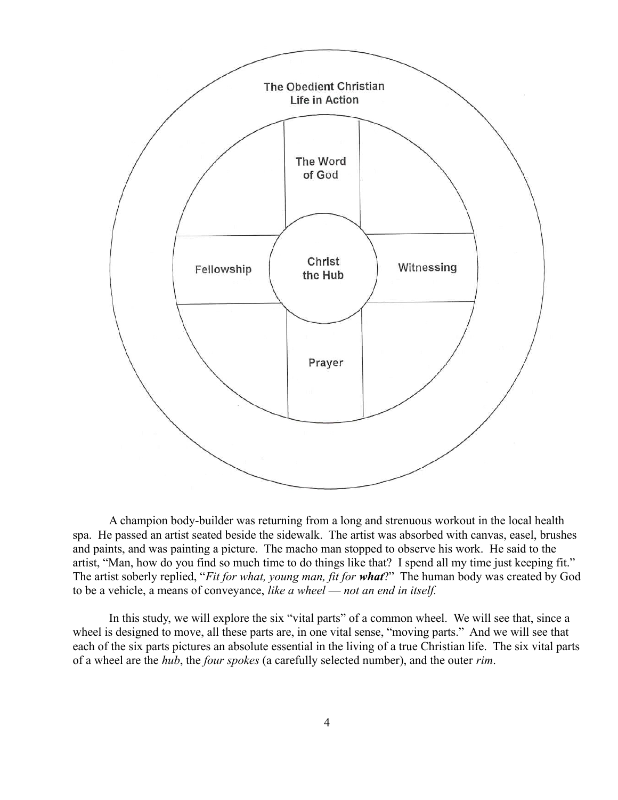

A champion body-builder was returning from a long and strenuous workout in the local health spa. He passed an artist seated beside the sidewalk. The artist was absorbed with canvas, easel, brushes and paints, and was painting a picture. The macho man stopped to observe his work. He said to the artist, "Man, how do you find so much time to do things like that? I spend all my time just keeping fit." The artist soberly replied, "*Fit for what, young man, fit for what*?" The human body was created by God to be a vehicle, a means of conveyance, *like a wheel* — *not an end in itself.*

In this study, we will explore the six "vital parts" of a common wheel. We will see that, since a wheel is designed to move, all these parts are, in one vital sense, "moving parts." And we will see that each of the six parts pictures an absolute essential in the living of a true Christian life. The six vital parts of a wheel are the *hub*, the *four spokes* (a carefully selected number), and the outer *rim*.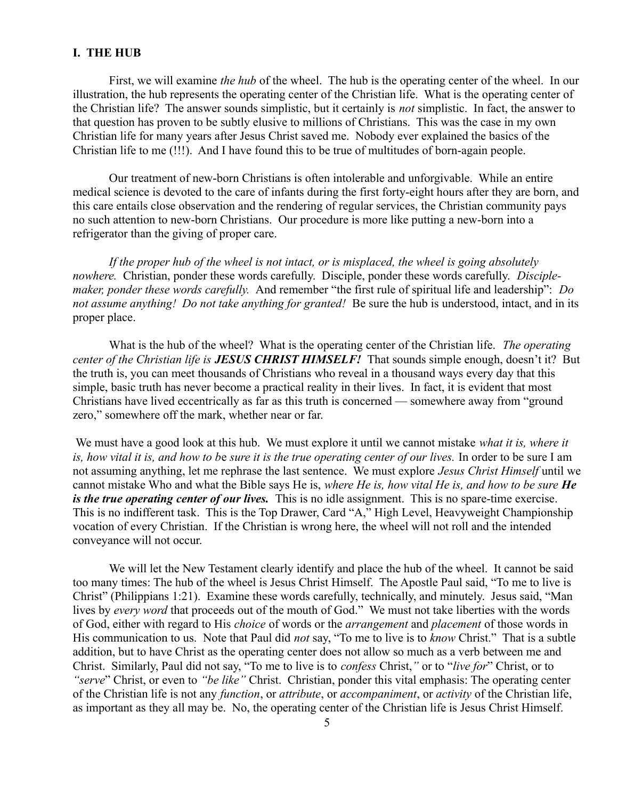#### **I. THE HUB**

First, we will examine *the hub* of the wheel. The hub is the operating center of the wheel. In our illustration, the hub represents the operating center of the Christian life. What is the operating center of the Christian life? The answer sounds simplistic, but it certainly is *not* simplistic. In fact, the answer to that question has proven to be subtly elusive to millions of Christians. This was the case in my own Christian life for many years after Jesus Christ saved me. Nobody ever explained the basics of the Christian life to me (!!!). And I have found this to be true of multitudes of born-again people.

Our treatment of new-born Christians is often intolerable and unforgivable. While an entire medical science is devoted to the care of infants during the first forty-eight hours after they are born, and this care entails close observation and the rendering of regular services, the Christian community pays no such attention to new-born Christians. Our procedure is more like putting a new-born into a refrigerator than the giving of proper care.

*If the proper hub of the wheel is not intact, or is misplaced, the wheel is going absolutely nowhere.* Christian, ponder these words carefully. Disciple, ponder these words carefully. *Disciplemaker, ponder these words carefully.* And remember "the first rule of spiritual life and leadership": *Do not assume anything! Do not take anything for granted!* Be sure the hub is understood, intact, and in its proper place.

What is the hub of the wheel? What is the operating center of the Christian life. *The operating center of the Christian life is JESUS CHRIST HIMSELF!* That sounds simple enough, doesn't it? But the truth is, you can meet thousands of Christians who reveal in a thousand ways every day that this simple, basic truth has never become a practical reality in their lives. In fact, it is evident that most Christians have lived eccentrically as far as this truth is concerned — somewhere away from "ground zero," somewhere off the mark, whether near or far.

 We must have a good look at this hub. We must explore it until we cannot mistake *what it is, where it is, how vital it is, and how to b*e *sure it is the true operating center of our lives.* In order to be sure I am not assuming anything, let me rephrase the last sentence. We must explore *Jesus Christ Himself* until we cannot mistake Who and what the Bible says He is, *where He is, how vital He is, and how to be sure He is the true operating center of our lives.* This is no idle assignment. This is no spare-time exercise. This is no indifferent task. This is the Top Drawer, Card "A," High Level, Heavyweight Championship vocation of every Christian. If the Christian is wrong here, the wheel will not roll and the intended conveyance will not occur.

We will let the New Testament clearly identify and place the hub of the wheel. It cannot be said too many times: The hub of the wheel is Jesus Christ Himself. The Apostle Paul said, "To me to live is Christ" (Philippians 1:21). Examine these words carefully, technically, and minutely. Jesus said, "Man lives by *every word* that proceeds out of the mouth of God." We must not take liberties with the words of God, either with regard to His *choice* of words or the *arrangement* and *placement* of those words in His communication to us. Note that Paul did *not* say, "To me to live is to *know* Christ." That is a subtle addition, but to have Christ as the operating center does not allow so much as a verb between me and Christ. Similarly, Paul did not say, "To me to live is to *confess* Christ,*"* or to "*live for*" Christ, or to *"serve*" Christ, or even to *"be like"* Christ. Christian, ponder this vital emphasis: The operating center of the Christian life is not any *function*, or *attribute*, or *accompaniment*, or *activity* of the Christian life, as important as they all may be. No, the operating center of the Christian life is Jesus Christ Himself.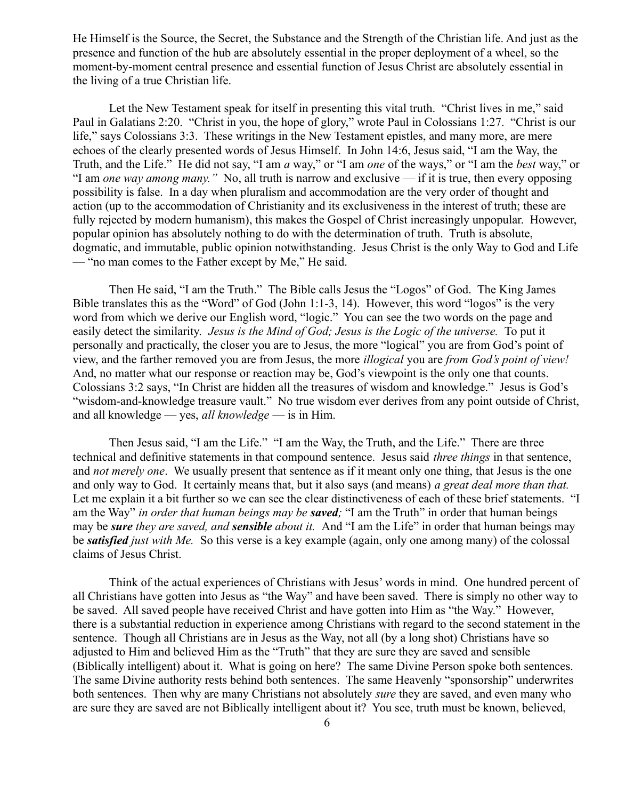He Himself is the Source, the Secret, the Substance and the Strength of the Christian life. And just as the presence and function of the hub are absolutely essential in the proper deployment of a wheel, so the moment-by-moment central presence and essential function of Jesus Christ are absolutely essential in the living of a true Christian life.

Let the New Testament speak for itself in presenting this vital truth. "Christ lives in me," said Paul in Galatians 2:20. "Christ in you, the hope of glory," wrote Paul in Colossians 1:27. "Christ is our life," says Colossians 3:3. These writings in the New Testament epistles, and many more, are mere echoes of the clearly presented words of Jesus Himself. In John 14:6, Jesus said, "I am the Way, the Truth, and the Life." He did not say, "I am *a* way," or "I am *one* of the ways," or "I am the *best* way," or "I am *one way among many."* No, all truth is narrow and exclusive — if it is true, then every opposing possibility is false. In a day when pluralism and accommodation are the very order of thought and action (up to the accommodation of Christianity and its exclusiveness in the interest of truth; these are fully rejected by modern humanism), this makes the Gospel of Christ increasingly unpopular. However, popular opinion has absolutely nothing to do with the determination of truth. Truth is absolute, dogmatic, and immutable, public opinion notwithstanding. Jesus Christ is the only Way to God and Life — "no man comes to the Father except by Me," He said.

Then He said, "I am the Truth." The Bible calls Jesus the "Logos" of God. The King James Bible translates this as the "Word" of God (John 1:1-3, 14). However, this word "logos" is the very word from which we derive our English word, "logic." You can see the two words on the page and easily detect the similarity. *Jesus is the Mind of God; Jesus is the Logic of the universe.* To put it personally and practically, the closer you are to Jesus, the more "logical" you are from God's point of view, and the farther removed you are from Jesus, the more *illogical* you are *from God's point of view!* And, no matter what our response or reaction may be, God's viewpoint is the only one that counts. Colossians 3:2 says, "In Christ are hidden all the treasures of wisdom and knowledge." Jesus is God's "wisdom-and-knowledge treasure vault." No true wisdom ever derives from any point outside of Christ, and all knowledge — yes, *all knowledge* — is in Him.

Then Jesus said, "I am the Life." "I am the Way, the Truth, and the Life." There are three technical and definitive statements in that compound sentence. Jesus said *three things* in that sentence, and *not merely one*. We usually present that sentence as if it meant only one thing, that Jesus is the one and only way to God. It certainly means that, but it also says (and means) *a great deal more than that.* Let me explain it a bit further so we can see the clear distinctiveness of each of these brief statements. "I am the Way" *in order that human beings may be saved;* "I am the Truth" in order that human beings may be *sure they are saved, and sensible about it.* And "I am the Life" in order that human beings may be *satisfied just with Me.* So this verse is a key example (again, only one among many) of the colossal claims of Jesus Christ.

Think of the actual experiences of Christians with Jesus' words in mind. One hundred percent of all Christians have gotten into Jesus as "the Way" and have been saved. There is simply no other way to be saved. All saved people have received Christ and have gotten into Him as "the Way." However, there is a sub*s*tantial reduction in experience among Christians with regard to the second statement in the sentence. Though all Christians are in Jesus as the Way, not all (by a long shot) Christians have so adjusted to Him and believed Him as the "Truth" that they are sure they are saved and sensible (Biblically intelligent) about it. What is going on here? The same Divine Person spoke both sentences. The same Divine authority rests behind both sentences. The same Heavenly "sponsorship" underwrites both sentences. Then why are many Christians not absolutely *sure* they are saved, and even many who are sure they are saved are not Biblically intelligent about it? You see, truth must be known, believed,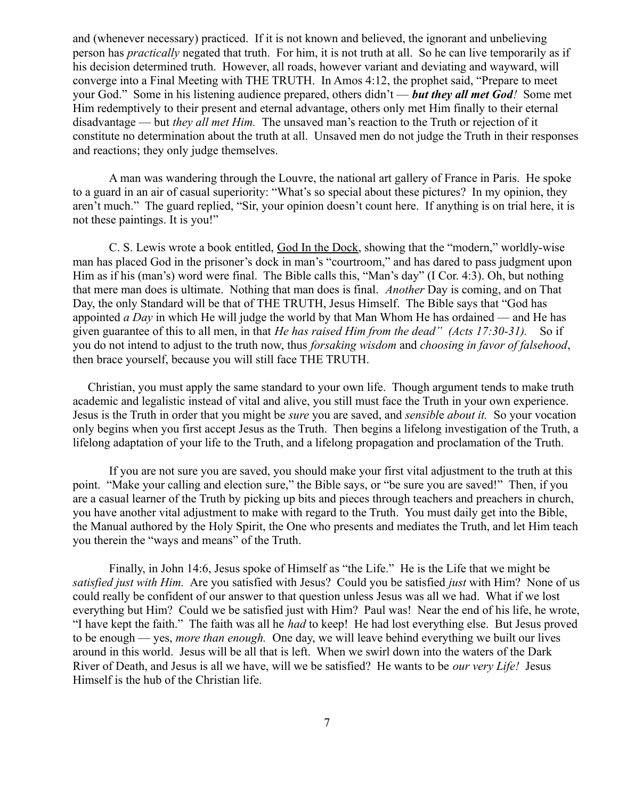and (whenever necessary) practiced. If it is not known and believed, the ignorant and unbelieving person has *practically* negated that truth. For him, it is not truth at all. So he can live temporarily as if his decision determined truth. However, all roads, however variant and deviating and wayward, will converge into a Final Meeting with THE TRUTH. In Amos 4:12, the prophet said, "Prepare to meet your God." Some in his listening audience prepared, others didn't — *but they all met God!* Some met Him redemptively to their present and eternal advantage, others only met Him finally to their eternal disadvantage — but *they all met Him.* The unsaved man's reaction to the Truth or rejection of it constitute no determination about the truth at all. Unsaved men do not judge the Truth in their responses and reactions; they only judge themselves.

A man was wandering through the Louvre, the national art gallery of France in Paris. He spoke to a guard in an air of casual superiority: "What's so special about these pictures? In my opinion, they aren't much." The guard replied, "Sir, your opinion doesn't count here. If anything is on trial here, it is not these paintings. It is you!"

C. S. Lewis wrote a book entitled, God In the Dock, showing that the "modern," worldly-wise man has placed God in the prisoner's dock in man's "courtroom," and has dared to pass judgment upon Him as if his (man's) word were final. The Bible calls this, "Man's day" (I Cor. 4:3). Oh, but nothing that mere man does is ultimate. Nothing that man does is final. *Another* Day is coming, and on That Day, the only Standard will be that of THE TRUTH, Jesus Himself. The Bible says that "God has appointed *a Day* in which He will judge the world by that Man Whom He has ordained — and He has given guarantee of this to all men, in that *He has raised Him from the dead" (Acts 17:30-31).* So if you do not intend to adjust to the truth now, thus *forsaking wisdom* and *choosing in favor of falsehood*, then brace yourself, because you will still face THE TRUTH.

 Christian, you must apply the same standard to your own life. Though argument tends to make truth academic and legalistic instead of vital and alive, you still must face the Truth in your own experience. Jesus is the Truth in order that you might be *sure* you are saved, and *sensibl*e *about it.* So your vocation only begins when you first accept Jesus as the Truth. Then begins a lifelong investigation of the Truth, a lifelong adaptation of your life to the Truth, and a lifelong propagation and proclamation of the Truth.

If you are not sure you are saved, you should make your first vital adjustment to the truth at this point. "Make your calling and election sure," the Bible says, or "be sure you are saved!" Then, if you are a casual learner of the Truth by picking up bits and pieces through teachers and preachers in church, you have another vital adjustment to make with regard to the Truth. You must daily get into the Bible, the Manual authored by the Holy Spirit, the One who presents and mediates the Truth, and let Him teach you therein the "ways and means" of the Truth.

Finally, in John 14:6, Jesus spoke of Himself as "the Life." He is the Life that we might be *satisfied just with Him.* Are you satisfied with Jesus? Could you be satisfied *just* with Him? None of us could really be confident of our answer to that question unless Jesus was all we had. What if we lost everything but Him? Could we be satisfied just with Him? Paul was! Near the end of his life, he wrote, "I have kept the faith." The faith was all he *had* to keep! He had lost everything else. But Jesus proved to be enough — yes, *more than enough.* One day, we will leave behind everything we built our lives around in this world. Jesus will be all that is left. When we swirl down into the waters of the Dark River of Death, and Jesus is all we have, will we be satisfied? He wants to be *our very Life!* Jesus Himself is the hub of the Christian life.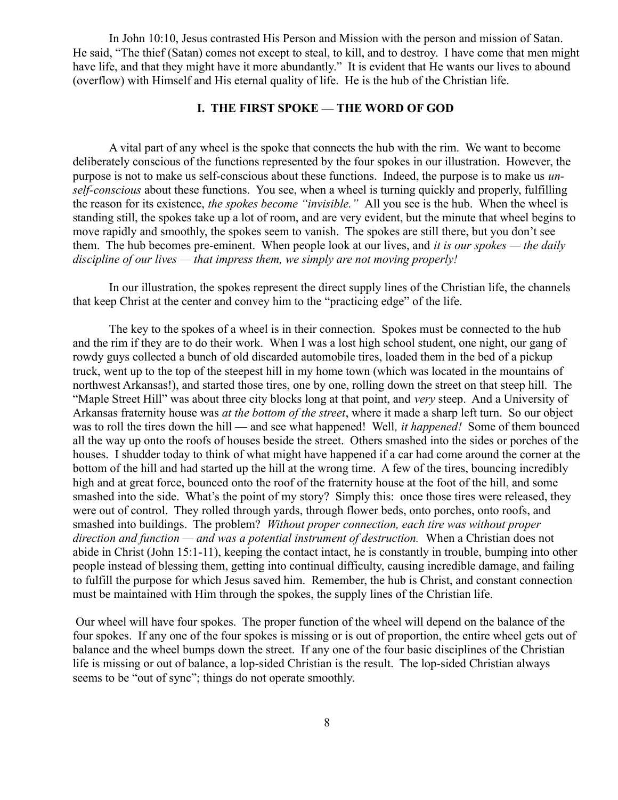In John 10:10, Jesus contrasted His Person and Mission with the person and mission of Satan. He said, "The thief (Satan) comes not except to steal, to kill, and to destroy. I have come that men might have life, and that they might have it more abundantly." It is evident that He wants our lives to abound (overflow) with Himself and His eternal quality of life. He is the hub of the Christian life.

# **I. THE FIRST SPOKE — THE WORD OF GOD**

A vital part of any wheel is the spoke that connects the hub with the rim. We want to become deliberately conscious of the functions represented by the four spokes in our illustration. However, the purpose is not to make us self-conscious about these functions. Indeed, the purpose is to make us *unself-conscious* about these functions. You see, when a wheel is turning quickly and properly, fulfilling the reason for its existence, *the spokes become "invisible."* All you see is the hub. When the wheel is standing still, the spokes take up a lot of room, and are very evident, but the minute that wheel begins to move rapidly and smoothly, the spokes seem to vanish. The spokes are still there, but you don't see them. The hub becomes pre-eminent. When people look at our lives, and *it is our spokes — the daily discipline of our lives — that impress them, we simply are not moving properly!*

In our illustration, the spokes represent the direct supply lines of the Christian life, the channels that keep Christ at the center and convey him to the "practicing edge" of the life.

The key to the spokes of a wheel is in their connection. Spokes must be connected to the hub and the rim if they are to do their work. When I was a lost high school student, one night, our gang of rowdy guys collected a bunch of old discarded automobile tires, loaded them in the bed of a pickup truck, went up to the top of the steepest hill in my home town (which was located in the mountains of northwest Arkansas!), and started those tires, one by one, rolling down the street on that steep hill. The "Maple Street Hill" was about three city blocks long at that point, and *very* steep. And a University of Arkansas fraternity house was *at the bottom of the street*, where it made a sharp left turn. So our object was to roll the tires down the hill — and see what happened! Well*, it happened!* Some of them bounced all the way up onto the roofs of houses beside the street. Others smashed into the sides or porches of the houses. I shudder today to think of what might have happened if a car had come around the corner at the bottom of the hill and had started up the hill at the wrong time. A few of the tires, bouncing incredibly high and at great force, bounced onto the roof of the fraternity house at the foot of the hill, and some smashed into the side. What's the point of my story? Simply this: once those tires were released, they were out of control. They rolled through yards, through flower beds, onto porches, onto roofs, and smashed into buildings. The problem? *Without proper connection, each tire was without proper direction and function — and was a potential instrument of destruction.* When a Christian does not abide in Christ (John 15:1-11), keeping the contact intact, he is constantly in trouble, bumping into other people instead of blessing them, getting into continual difficulty, causing incredible damage, and failing to fulfill the purpose for which Jesus saved him. Remember, the hub is Christ, and constant connection must be maintained with Him through the spokes, the supply lines of the Christian life.

 Our wheel will have four spokes. The proper function of the wheel will depend on the balance of the four spokes. If any one of the four spokes is missing or is out of proportion, the entire wheel gets out of balance and the wheel bumps down the street. If any one of the four basic disciplines of the Christian life is missing or out of balance, a lop-sided Christian is the result. The lop-sided Christian always seems to be "out of sync"; things do not operate smoothly.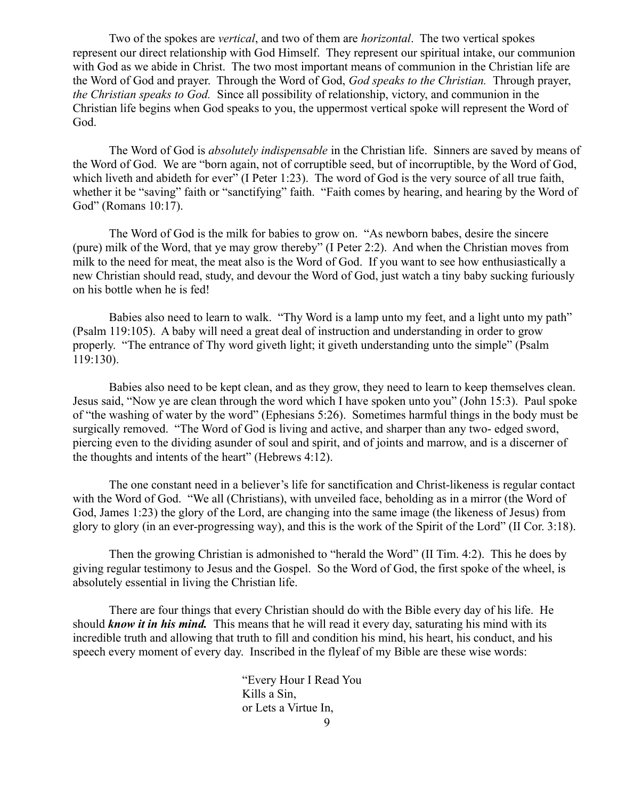Two of the spokes are *vertical*, and two of them are *horizontal*. The two vertical spokes represent our direct relationship with God Himself. They represent our spiritual intake, our communion with God as we abide in Christ. The two most important means of communion in the Christian life are the Word of God and prayer. Through the Word of God, *God speaks to the Christian.* Through prayer, *the Christian speaks to God.* Since all possibility of relationship, victory, and communion in the Christian life begins when God speaks to you, the uppermost vertical spoke will represent the Word of God.

The Word of God is *absolutely indispensable* in the Christian life. Sinners are saved by means of the Word of God. We are "born again, not of corruptible seed, but of incorruptible, by the Word of God, which liveth and abideth for ever" (I Peter 1:23). The word of God is the very source of all true faith, whether it be "saving" faith or "sanctifying" faith. "Faith comes by hearing, and hearing by the Word of God" (Romans 10:17).

The Word of God is the milk for babies to grow on. "As newborn babes, desire the sincere (pure) milk of the Word, that ye may grow thereby" (I Peter 2:2). And when the Christian moves from milk to the need for meat, the meat also is the Word of God. If you want to see how enthusiastically a new Christian should read, study, and devour the Word of God, just watch a tiny baby sucking furiously on his bottle when he is fed!

Babies also need to learn to walk. "Thy Word is a lamp unto my feet, and a light unto my path" (Psalm 119:105). A baby will need a great deal of instruction and understanding in order to grow properly. "The entrance of Thy word giveth light; it giveth understanding unto the simple" (Psalm 119:130).

Babies also need to be kept clean, and as they grow, they need to learn to keep themselves clean. Jesus said, "Now ye are clean through the word which I have spoken unto you" (John 15:3). Paul spoke of "the washing of water by the word" (Ephesians 5:26). Sometimes harmful things in the body must be surgically removed. "The Word of God is living and active, and sharper than any two- edged sword, piercing even to the dividing asunder of soul and spirit, and of joints and marrow, and is a discerner of the thoughts and intents of the heart" (Hebrews 4:12).

The one constant need in a believer's life for sanctification and Christ-likeness is regular contact with the Word of God. "We all (Christians), with unveiled face, beholding as in a mirror (the Word of God, James 1:23) the glory of the Lord, are changing into the same image (the likeness of Jesus) from glory to glory (in an ever-progressing way), and this is the work of the Spirit of the Lord" (II Cor. 3:18).

Then the growing Christian is admonished to "herald the Word" (II Tim. 4:2). This he does by giving regular testimony to Jesus and the Gospel. So the Word of God, the first spoke of the wheel, is absolutely essential in living the Christian life.

There are four things that every Christian should do with the Bible every day of his life. He should *know it in his mind.* This means that he will read it every day, saturating his mind with its incredible truth and allowing that truth to fill and condition his mind, his heart, his conduct, and his speech every moment of every day. Inscribed in the flyleaf of my Bible are these wise words:

> "Every Hour I Read You Kills a Sin, or Lets a Virtue In, 9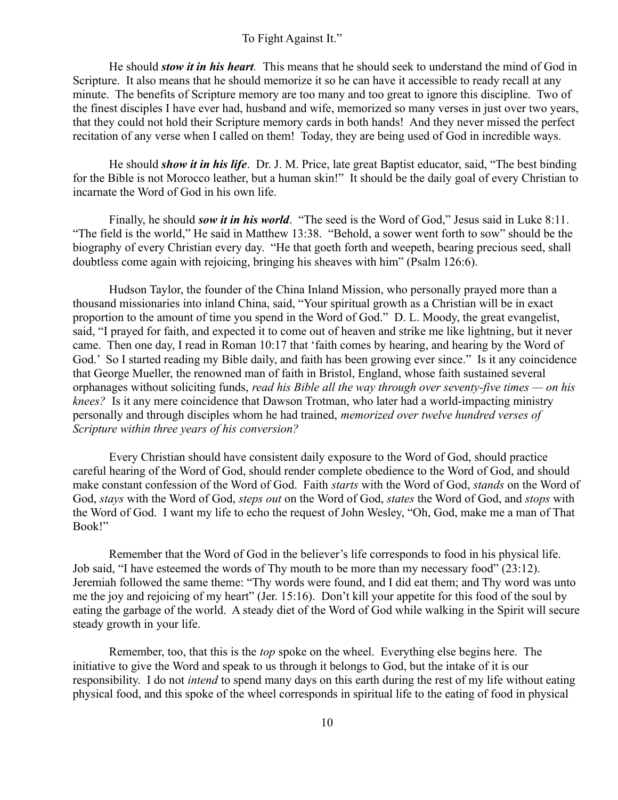#### To Fight Against It."

He should *stow it in his heart.* This means that he should seek to understand the mind of God in Scripture. It also means that he should memorize it so he can have it accessible to ready recall at any minute. The benefits of Scripture memory are too many and too great to ignore this discipline. Two of the finest disciples I have ever had, husband and wife, memorized so many verses in just over two years, that they could not hold their Scripture memory cards in both hands! And they never missed the perfect recitation of any verse when I called on them! Today, they are being used of God in incredible ways.

He should *show it in his life*. Dr. J. M. Price, late great Baptist educator, said, "The best binding for the Bible is not Morocco leather, but a human skin!" It should be the daily goal of every Christian to incarnate the Word of God in his own life.

Finally, he should *sow it in his world*. "The seed is the Word of God," Jesus said in Luke 8:11. "The field is the world," He said in Matthew 13:38. "Behold, a sower went forth to sow" should be the biography of every Christian every day. "He that goeth forth and weepeth, bearing precious seed, shall doubtless come again with rejoicing, bringing his sheaves with him" (Psalm 126:6).

Hudson Taylor, the founder of the China Inland Mission, who personally prayed more than a thousand missionaries into inland China, said, "Your spiritual growth as a Christian will be in exact proportion to the amount of time you spend in the Word of God." D. L. Moody, the great evangelist, said, "I prayed for faith, and expected it to come out of heaven and strike me like lightning, but it never came. Then one day, I read in Roman 10:17 that 'faith comes by hearing, and hearing by the Word of God.' So I started reading my Bible daily, and faith has been growing ever since." Is it any coincidence that George Mueller, the renowned man of faith in Bristol, England, whose faith sustained several orphanages without soliciting funds, *read his Bible all the way through over seventy-five times — on his knees?* Is it any mere coincidence that Dawson Trotman, who later had a world-impacting ministry personally and through disciples whom he had trained, *memorized over twelve hundred verses of Scripture within three years of his conversion?*

Every Christian should have consistent daily exposure to the Word of God, should practice careful hearing of the Word of God, should render complete obedience to the Word of God, and should make constant confession of the Word of God. Faith *starts* with the Word of God, *stands* on the Word of God, *stays* with the Word of God, *steps out* on the Word of God, *states* the Word of God, and *stops* with the Word of God. I want my life to echo the request of John Wesley, "Oh, God, make me a man of That Book!"

Remember that the Word of God in the believer's life corresponds to food in his physical life. Job said, "I have esteemed the words of Thy mouth to be more than my necessary food" (23:12). Jeremiah followed the same theme: "Thy words were found, and I did eat them; and Thy word was unto me the joy and rejoicing of my heart" (Jer. 15:16). Don't kill your appetite for this food of the soul by eating the garbage of the world. A steady diet of the Word of God while walking in the Spirit will secure steady growth in your life.

Remember, too, that this is the *top* spoke on the wheel. Everything else begins here. The initiative to give the Word and speak to us through it belongs to God, but the intake of it is our responsibility. I do not *intend* to spend many days on this earth during the rest of my life without eating physical food, and this spoke of the wheel corresponds in spiritual life to the eating of food in physical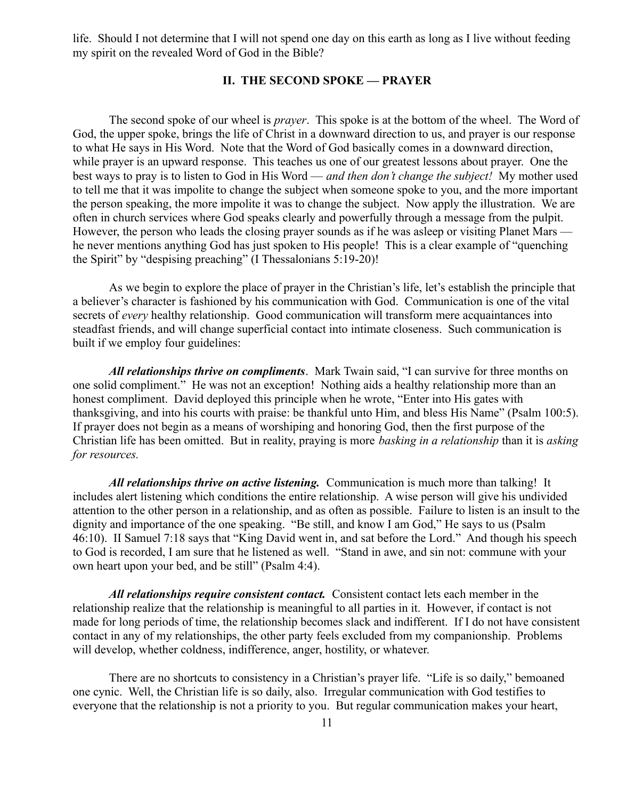life. Should I not determine that I will not spend one day on this earth as long as I live without feeding my spirit on the revealed Word of God in the Bible?

### **II. THE SECOND SPOKE — PRAYER**

The second spoke of our wheel is *prayer*. This spoke is at the bottom of the wheel. The Word of God, the upper spoke, brings the life of Christ in a downward direction to us, and prayer is our response to what He says in His Word. Note that the Word of God basically comes in a downward direction, while prayer is an upward response. This teaches us one of our greatest lessons about prayer. One the best ways to pray is to listen to God in His Word — *and then don't change the subject!* My mother used to tell me that it was impolite to change the subject when someone spoke to you, and the more important the person speaking, the more impolite it was to change the subject. Now apply the illustration. We are often in church services where God speaks clearly and powerfully through a message from the pulpit. However, the person who leads the closing prayer sounds as if he was asleep or visiting Planet Mars he never mentions anything God has just spoken to His people! This is a clear example of "quenching the Spirit" by "despising preaching" (I Thessalonians 5:19-20)!

As we begin to explore the place of prayer in the Christian's life, let's establish the principle that a believer's character is fashioned by his communication with God. Communication is one of the vital secrets of *every* healthy relationship. Good communication will transform mere acquaintances into steadfast friends, and will change superficial contact into intimate closeness. Such communication is built if we employ four guidelines:

*All relationships thrive on compliments*. Mark Twain said, "I can survive for three months on one solid compliment." He was not an exception! Nothing aids a healthy relationship more than an honest compliment. David deployed this principle when he wrote, "Enter into His gates with thanksgiving, and into his courts with praise: be thankful unto Him, and bless His Name" (Psalm 100:5). If prayer does not begin as a means of worshiping and honoring God, then the first purpose of the Christian life has been omitted. But in reality, praying is more *basking in a relationship* than it is *asking for resources.*

*All relationships thrive on active listening.* Communication is much more than talking! It includes alert listening which conditions the entire relationship. A wise person will give his undivided attention to the other person in a relationship, and as often as possible. Failure to listen is an insult to the dignity and importance of the one speaking. "Be still, and know I am God," He says to us (Psalm 46:10). II Samuel 7:18 says that "King David went in, and sat before the Lord." And though his speech to God is recorded, I am sure that he listened as well. "Stand in awe, and sin not: commune with your own heart upon your bed, and be still" (Psalm 4:4).

*All relationships require consistent contact.* Consistent contact lets each member in the relationship realize that the relationship is meaningful to all parties in it. However, if contact is not made for long periods of time, the relationship becomes slack and indifferent. If I do not have consistent contact in any of my relationships, the other party feels excluded from my companionship. Problems will develop, whether coldness, indifference, anger, hostility, or whatever.

There are no shortcuts to consistency in a Christian's prayer life. "Life is so daily," bemoaned one cynic. Well, the Christian life is so daily, also. Irregular communication with God testifies to everyone that the relationship is not a priority to you. But regular communication makes your heart,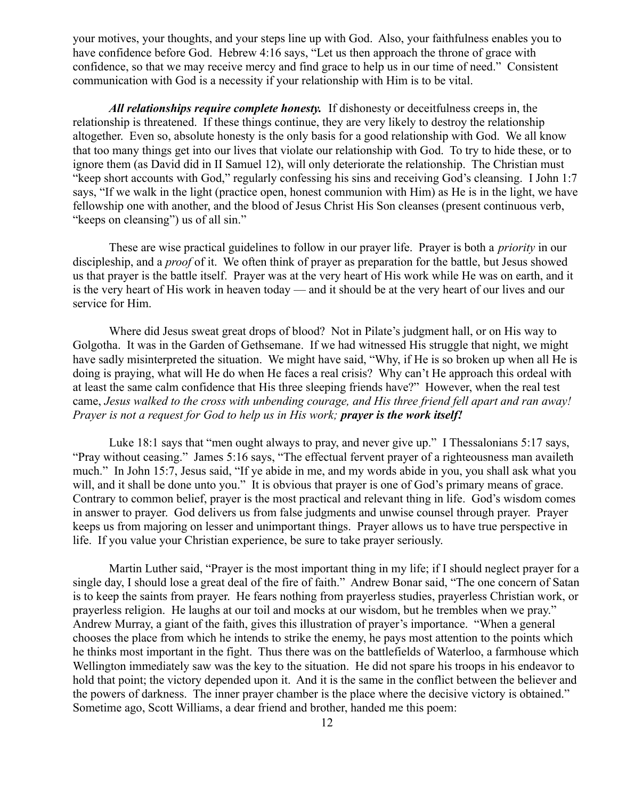your motives, your thoughts, and your steps line up with God. Also, your faithfulness enables you to have confidence before God. Hebrew 4:16 says, "Let us then approach the throne of grace with confidence, so that we may receive mercy and find grace to help us in our time of need." Consistent communication with God is a necessity if your relationship with Him is to be vital.

*All relationships require complete honesty.* If dishonesty or deceitfulness creeps in, the relationship is threatened. If these things continue, they are very likely to destroy the relationship altogether. Even so, absolute honesty is the only basis for a good relationship with God. We all know that too many things get into our lives that violate our relationship with God. To try to hide these, or to ignore them (as David did in II Samuel 12), will only deteriorate the relationship. The Christian must "keep short accounts with God," regularly confessing his sins and receiving God's cleansing. I John 1:7 says, "If we walk in the light (practice open, honest communion with Him) as He is in the light, we have fellowship one with another, and the blood of Jesus Christ His Son cleanses (present continuous verb, "keeps on cleansing") us of all sin."

These are wise practical guidelines to follow in our prayer life. Prayer is both a *priority* in our discipleship, and a *proof* of it. We often think of prayer as preparation for the battle, but Jesus showed us that prayer is the battle itself. Prayer was at the very heart of His work while He was on earth, and it is the very heart of His work in heaven today — and it should be at the very heart of our lives and our service for Him.

Where did Jesus sweat great drops of blood? Not in Pilate's judgment hall, or on His way to Golgotha. It was in the Garden of Gethsemane. If we had witnessed His struggle that night, we might have sadly misinterpreted the situation. We might have said, "Why, if He is so broken up when all He is doing is praying, what will He do when He faces a real crisis? Why can't He approach this ordeal with at least the same calm confidence that His three sleeping friends have?" However, when the real test came, *Jesus walked to the cross with unbending courage, and His three friend fell apart and ran away! Prayer is not a request for God to help us in His work; prayer is the work itself!*

Luke 18:1 says that "men ought always to pray, and never give up." I Thessalonians 5:17 says, "Pray without ceasing." James 5:16 says, "The effectual fervent prayer of a righteousness man availeth much." In John 15:7, Jesus said, "If ye abide in me, and my words abide in you, you shall ask what you will, and it shall be done unto you." It is obvious that prayer is one of God's primary means of grace. Contrary to common belief, prayer is the most practical and relevant thing in life. God's wisdom comes in answer to prayer. God delivers us from false judgments and unwise counsel through prayer. Prayer keeps us from majoring on lesser and unimportant things. Prayer allows us to have true perspective in life. If you value your Christian experience, be sure to take prayer seriously.

Martin Luther said, "Prayer is the most important thing in my life; if I should neglect prayer for a single day, I should lose a great deal of the fire of faith." Andrew Bonar said, "The one concern of Satan is to keep the saints from prayer. He fears nothing from prayerless studies, prayerless Christian work, or prayerless religion. He laughs at our toil and mocks at our wisdom, but he trembles when we pray." Andrew Murray, a giant of the faith, gives this illustration of prayer's importance. "When a general chooses the place from which he intends to strike the enemy, he pays most attention to the points which he thinks most important in the fight. Thus there was on the battlefields of Waterloo, a farmhouse which Wellington immediately saw was the key to the situation. He did not spare his troops in his endeavor to hold that point; the victory depended upon it. And it is the same in the conflict between the believer and the powers of darkness. The inner prayer chamber is the place where the decisive victory is obtained." Sometime ago, Scott Williams, a dear friend and brother, handed me this poem: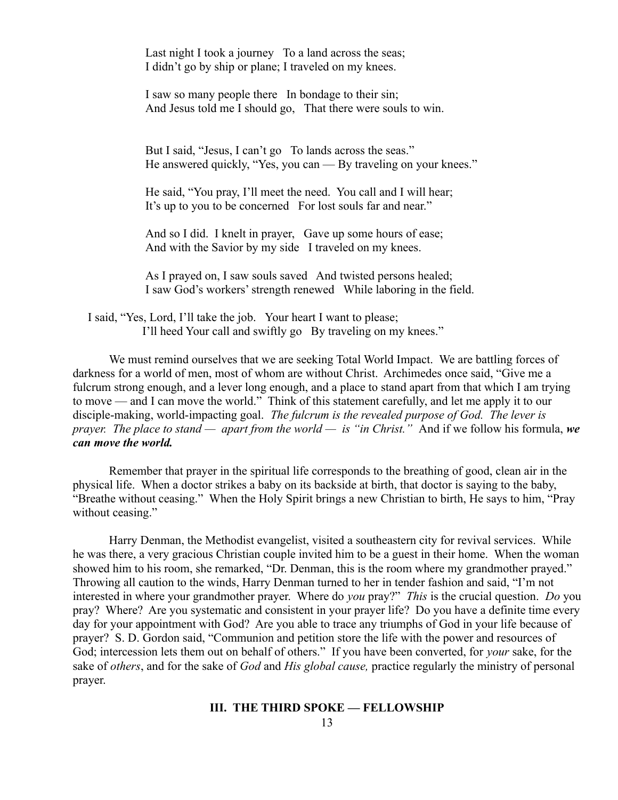Last night I took a journey To a land across the seas; I didn't go by ship or plane; I traveled on my knees.

I saw so many people there In bondage to their sin; And Jesus told me I should go, That there were souls to win.

But I said, "Jesus, I can't go To lands across the seas." He answered quickly, "Yes, you can — By traveling on your knees."

He said, "You pray, I'll meet the need. You call and I will hear; It's up to you to be concerned For lost souls far and near."

And so I did. I knelt in prayer, Gave up some hours of ease; And with the Savior by my side I traveled on my knees.

As I prayed on, I saw souls saved And twisted persons healed; I saw God's workers' strength renewed While laboring in the field.

 I said, "Yes, Lord, I'll take the job. Your heart I want to please; I'll heed Your call and swiftly go By traveling on my knees."

We must remind ourselves that we are seeking Total World Impact. We are battling forces of darkness for a world of men, most of whom are without Christ. Archimedes once said, "Give me a fulcrum strong enough, and a lever long enough, and a place to stand apart from that which I am trying to move — and I can move the world." Think of this statement carefully, and let me apply it to our disciple-making, world-impacting goal. *The fulcrum is the revealed purpose of God. The lever is prayer. The place to stand — apart from the world — is "in Christ."* And if we follow his formula, *we can move the world.*

Remember that prayer in the spiritual life corresponds to the breathing of good, clean air in the physical life. When a doctor strikes a baby on its backside at birth, that doctor is saying to the baby, "Breathe without ceasing." When the Holy Spirit brings a new Christian to birth, He says to him, "Pray without ceasing."

Harry Denman, the Methodist evangelist, visited a southeastern city for revival services. While he was there, a very gracious Christian couple invited him to be a guest in their home. When the woman showed him to his room, she remarked, "Dr. Denman, this is the room where my grandmother prayed." Throwing all caution to the winds, Harry Denman turned to her in tender fashion and said, "I'm not interested in where your grandmother prayer. Where do *you* pray?" *This* is the crucial question. *Do* you pray? Where? Are you systematic and consistent in your prayer life? Do you have a definite time every day for your appointment with God? Are you able to trace any triumphs of God in your life because of prayer? S. D. Gordon said, "Communion and petition store the life with the power and resources of God; intercession lets them out on behalf of others." If you have been converted, for *your* sake, for the sake of *others*, and for the sake of *God* and *His global cause,* practice regularly the ministry of personal prayer.

#### **III. THE THIRD SPOKE — FELLOWSHIP**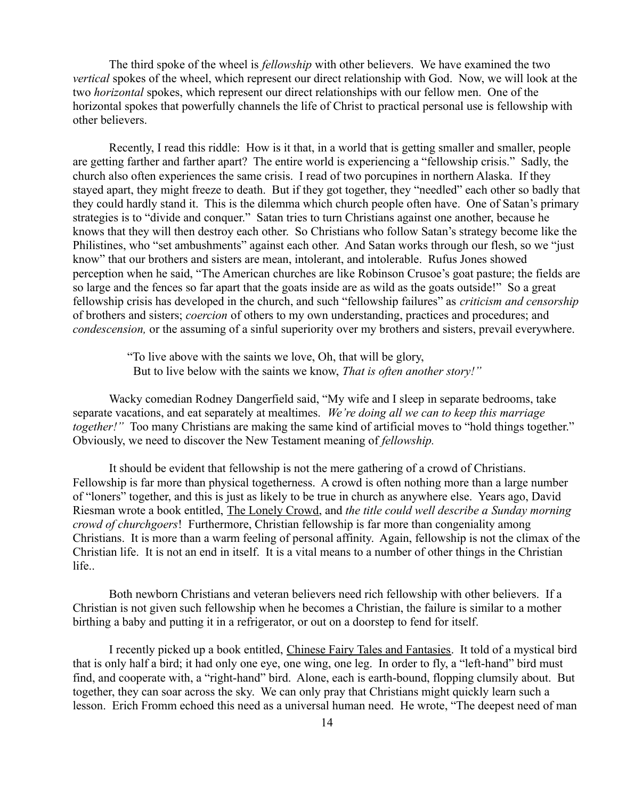The third spoke of the wheel is *fellowship* with other believers. We have examined the two *vertical* spokes of the wheel, which represent our direct relationship with God. Now, we will look at the two *horizontal* spokes, which represent our direct relationships with our fellow men. One of the horizontal spokes that powerfully channels the life of Christ to practical personal use is fellowship with other believers.

Recently, I read this riddle: How is it that, in a world that is getting smaller and smaller, people are getting farther and farther apart? The entire world is experiencing a "fellowship crisis." Sadly, the church also often experiences the same crisis. I read of two porcupines in northern Alaska. If they stayed apart, they might freeze to death. But if they got together, they "needled" each other so badly that they could hardly stand it. This is the dilemma which church people often have. One of Satan's primary strategies is to "divide and conquer." Satan tries to turn Christians against one another, because he knows that they will then destroy each other. So Christians who follow Satan's strategy become like the Philistines, who "set ambushments" against each other. And Satan works through our flesh, so we "just know" that our brothers and sisters are mean, intolerant, and intolerable. Rufus Jones showed perception when he said, "The American churches are like Robinson Crusoe's goat pasture; the fields are so large and the fences so far apart that the goats inside are as wild as the goats outside!" So a great fellowship crisis has developed in the church, and such "fellowship failures" as *criticism and censorship* of brothers and sisters; *coercion* of others to my own understanding, practices and procedures; and *condescension,* or the assuming of a sinful superiority over my brothers and sisters, prevail everywhere.

> "To live above with the saints we love, Oh, that will be glory, But to live below with the saints we know, *That is often another story!"*

Wacky comedian Rodney Dangerfield said, "My wife and I sleep in separate bedrooms, take separate vacations, and eat separately at mealtimes. *We're doing all we can to keep this marriage together!*" Too many Christians are making the same kind of artificial moves to "hold things together." Obviously, we need to discover the New Testament meaning of *fellowship.*

It should be evident that fellowship is not the mere gathering of a crowd of Christians. Fellowship is far more than physical togetherness. A crowd is often nothing more than a large number of "loners" together, and this is just as likely to be true in church as anywhere else. Years ago, David Riesman wrote a book entitled, The Lonely Crowd, and *the title could well describe a Sunday morning crowd of churchgoers*! Furthermore, Christian fellowship is far more than congeniality among Christians. It is more than a warm feeling of personal affinity. Again, fellowship is not the climax of the Christian life. It is not an end in itself. It is a vital means to a number of other things in the Christian life..

Both newborn Christians and veteran believers need rich fellowship with other believers. If a Christian is not given such fellowship when he becomes a Christian, the failure is similar to a mother birthing a baby and putting it in a refrigerator, or out on a doorstep to fend for itself.

I recently picked up a book entitled, Chinese Fairy Tales and Fantasies. It told of a mystical bird that is only half a bird; it had only one eye, one wing, one leg. In order to fly, a "left-hand" bird must find, and cooperate with, a "right-hand" bird. Alone, each is earth-bound, flopping clumsily about. But together, they can soar across the sky. We can only pray that Christians might quickly learn such a lesson. Erich Fromm echoed this need as a universal human need. He wrote, "The deepest need of man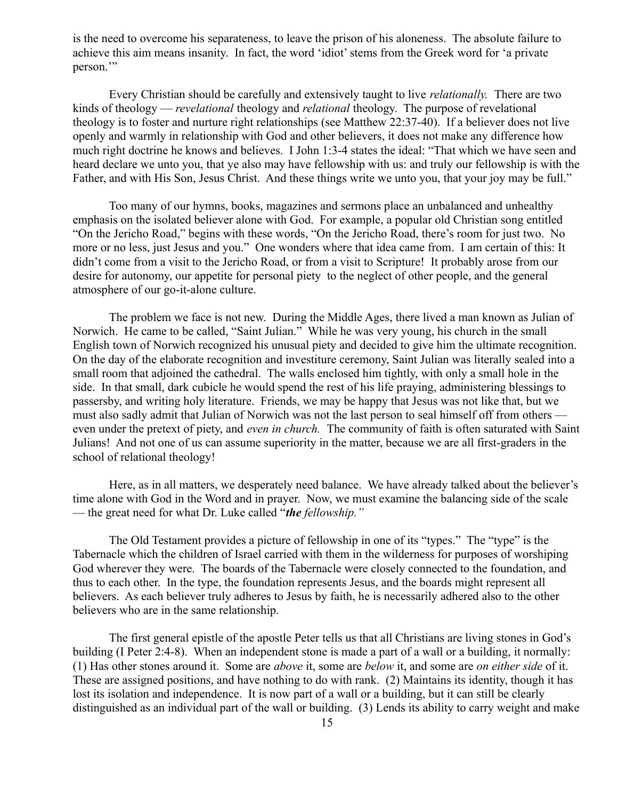is the need to overcome his separateness, to leave the prison of his aloneness. The absolute failure to achieve this aim means insanity. In fact, the word 'idiot' stems from the Greek word for 'a private person.'"

Every Christian should be carefully and extensively taught to live *relationally.* There are two kinds of theology — *revelational* theology and *relational* theology. The purpose of revelational theology is to foster and nurture right relationships (see Matthew 22:37-40). If a believer does not live openly and warmly in relationship with God and other believers, it does not make any difference how much right doctrine he knows and believes. I John 1:3-4 states the ideal: "That which we have seen and heard declare we unto you, that ye also may have fellowship with us: and truly our fellowship is with the Father, and with His Son, Jesus Christ. And these things write we unto you, that your joy may be full."

Too many of our hymns, books, magazines and sermons place an unbalanced and unhealthy emphasis on the isolated believer alone with God. For example, a popular old Christian song entitled "On the Jericho Road," begins with these words, "On the Jericho Road, there's room for just two. No more or no less, just Jesus and you." One wonders where that idea came from. I am certain of this: It didn't come from a visit to the Jericho Road, or from a visit to Scripture! It probably arose from our desire for autonomy, our appetite for personal piety to the neglect of other people, and the general atmosphere of our go-it-alone culture.

The problem we face is not new. During the Middle Ages, there lived a man known as Julian of Norwich. He came to be called, "Saint Julian." While he was very young, his church in the small English town of Norwich recognized his unusual piety and decided to give him the ultimate recognition. On the day of the elaborate recognition and investiture ceremony, Saint Julian was literally sealed into a small room that adjoined the cathedral. The walls enclosed him tightly, with only a small hole in the side. In that small, dark cubicle he would spend the rest of his life praying, administering blessings to passersby, and writing holy literature. Friends, we may be happy that Jesus was not like that, but we must also sadly admit that Julian of Norwich was not the last person to seal himself off from others even under the pretext of piety, and *even in church.* The community of faith is often saturated with Saint Julians! And not one of us can assume superiority in the matter, because we are all first-graders in the school of relational theology!

Here, as in all matters, we desperately need balance. We have already talked about the believer's time alone with God in the Word and in prayer. Now, we must examine the balancing side of the scale — the great need for what Dr. Luke called "*the fellowship."*

The Old Testament provides a picture of fellowship in one of its "types." The "type" is the Tabernacle which the children of Israel carried with them in the wilderness for purposes of worshiping God wherever they were. The boards of the Tabernacle were closely connected to the foundation, and thus to each other. In the type, the foundation represents Jesus, and the boards might represent all believers. As each believer truly adheres to Jesus by faith, he is necessarily adhered also to the other believers who are in the same relationship.

The first general epistle of the apostle Peter tells us that all Christians are living stones in God's building (I Peter 2:4-8). When an independent stone is made a part of a wall or a building, it normally: (1) Has other stones around it. Some are *above* it, some are *below* it, and some are *on either side* of it. These are assigned positions, and have nothing to do with rank. (2) Maintains its identity, though it has lost its isolation and independence. It is now part of a wall or a building, but it can still be clearly distinguished as an individual part of the wall or building. (3) Lends its ability to carry weight and make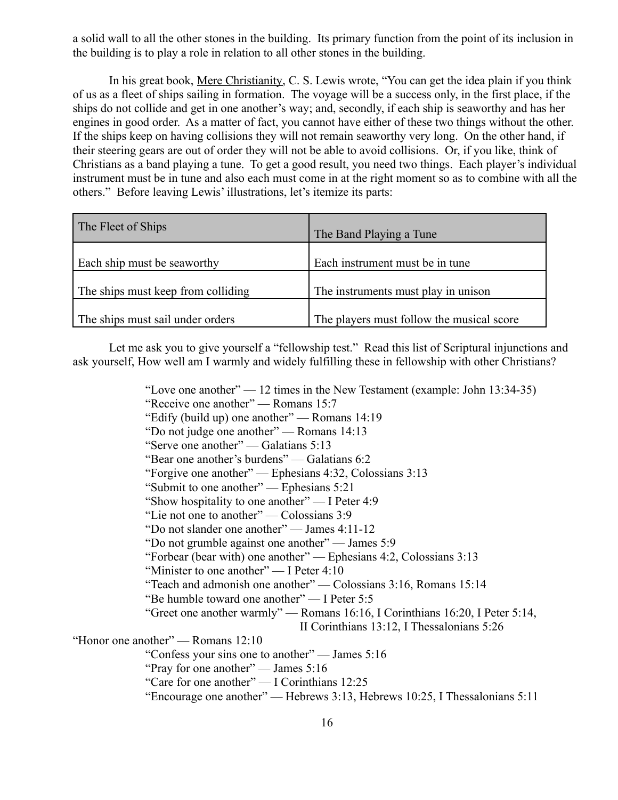a solid wall to all the other stones in the building. Its primary function from the point of its inclusion in the building is to play a role in relation to all other stones in the building.

 In his great book, Mere Christianity, C. S. Lewis wrote, "You can get the idea plain if you think of us as a fleet of ships sailing in formation. The voyage will be a success only, in the first place, if the ships do not collide and get in one another's way; and, secondly, if each ship is seaworthy and has her engines in good order. As a matter of fact, you cannot have either of these two things without the other. If the ships keep on having collisions they will not remain seaworthy very long. On the other hand, if their steering gears are out of order they will not be able to avoid collisions. Or, if you like, think of Christians as a band playing a tune. To get a good result, you need two things. Each player's individual instrument must be in tune and also each must come in at the right moment so as to combine with all the others." Before leaving Lewis' illustrations, let's itemize its parts:

| The Fleet of Ships                 | The Band Playing a Tune                   |
|------------------------------------|-------------------------------------------|
| Each ship must be seaworthy        | Each instrument must be in tune           |
| The ships must keep from colliding | The instruments must play in unison       |
| The ships must sail under orders   | The players must follow the musical score |

Let me ask you to give yourself a "fellowship test." Read this list of Scriptural injunctions and ask yourself, How well am I warmly and widely fulfilling these in fellowship with other Christians?

"Love one another"  $-12$  times in the New Testament (example: John 13:34-35) "Receive one another" — Romans 15:7 "Edify (build up) one another" — Romans 14:19 "Do not judge one another" — Romans 14:13 "Serve one another" — Galatians 5:13 "Bear one another's burdens" — Galatians 6:2 "Forgive one another" — Ephesians 4:32, Colossians 3:13 "Submit to one another" — Ephesians 5:21 "Show hospitality to one another" — I Peter 4:9 "Lie not one to another" — Colossians 3:9 "Do not slander one another" — James 4:11-12 "Do not grumble against one another" — James 5:9 "Forbear (bear with) one another" — Ephesians 4:2, Colossians 3:13 "Minister to one another" — I Peter 4:10 "Teach and admonish one another" — Colossians 3:16, Romans 15:14 "Be humble toward one another" — I Peter 5:5 "Greet one another warmly" — Romans 16:16, I Corinthians 16:20, I Peter 5:14, II Corinthians 13:12, I Thessalonians 5:26 "Honor one another" — Romans 12:10 "Confess your sins one to another" — James 5:16 "Pray for one another" — James 5:16

"Care for one another" — I Corinthians 12:25

"Encourage one another" — Hebrews 3:13, Hebrews 10:25, I Thessalonians 5:11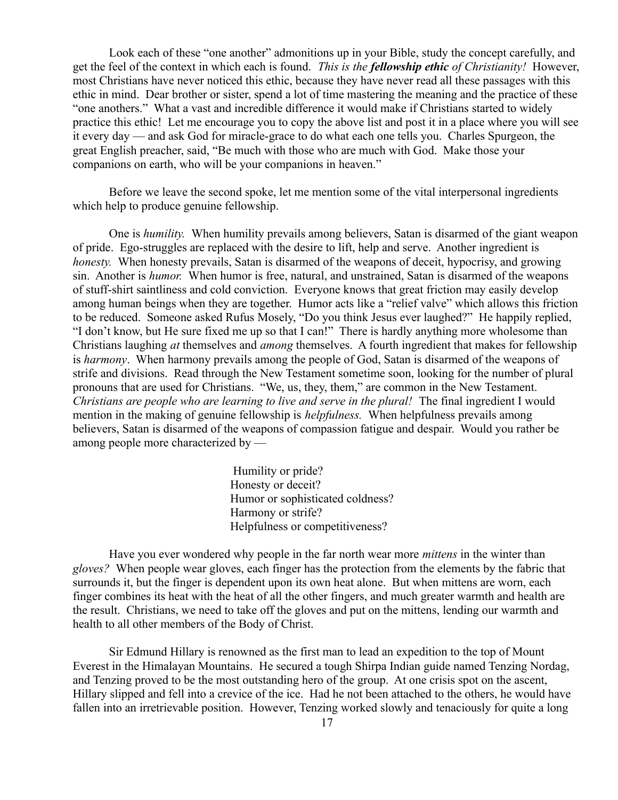Look each of these "one another" admonitions up in your Bible, study the concept carefully, and get the feel of the context in which each is found. *This is the fellowship ethic of Christianity!* However, most Christians have never noticed this ethic, because they have never read all these passages with this ethic in mind. Dear brother or sister, spend a lot of time mastering the meaning and the practice of these "one anothers." What a vast and incredible difference it would make if Christians started to widely practice this ethic! Let me encourage you to copy the above list and post it in a place where you will see it every day — and ask God for miracle-grace to do what each one tells you. Charles Spurgeon, the great English preacher, said, "Be much with those who are much with God. Make those your companions on earth, who will be your companions in heaven."

Before we leave the second spoke, let me mention some of the vital interpersonal ingredients which help to produce genuine fellowship.

One is *humility.* When humility prevails among believers, Satan is disarmed of the giant weapon of pride. Ego-struggles are replaced with the desire to lift, help and serve. Another ingredient is *honesty.* When honesty prevails, Satan is disarmed of the weapons of deceit, hypocrisy, and growing sin. Another is *humor.* When humor is free, natural, and unstrained, Satan is disarmed of the weapons of stuff-shirt saintliness and cold conviction. Everyone knows that great friction may easily develop among human beings when they are together. Humor acts like a "relief valve" which allows this friction to be reduced. Someone asked Rufus Mosely, "Do you think Jesus ever laughed?" He happily replied, "I don't know, but He sure fixed me up so that I can!" There is hardly anything more wholesome than Christians laughing *at* themselves and *among* themselves. A fourth ingredient that makes for fellowship is *harmony*. When harmony prevails among the people of God, Satan is disarmed of the weapons of strife and divisions. Read through the New Testament sometime soon, looking for the number of plural pronouns that are used for Christians. "We, us, they, them," are common in the New Testament. *Christians are people who are learning to live and serve in the plural!* The final ingredient I would mention in the making of genuine fellowship is *helpfulness.* When helpfulness prevails among believers, Satan is disarmed of the weapons of compassion fatigue and despair. Would you rather be among people more characterized by —

> Humility or pride? Honesty or deceit? Humor or sophisticated coldness? Harmony or strife? Helpfulness or competitiveness?

Have you ever wondered why people in the far north wear more *mittens* in the winter than *gloves?* When people wear gloves, each finger has the protection from the elements by the fabric that surrounds it, but the finger is dependent upon its own heat alone. But when mittens are worn, each finger combines its heat with the heat of all the other fingers, and much greater warmth and health are the result. Christians, we need to take off the gloves and put on the mittens, lending our warmth and health to all other members of the Body of Christ.

Sir Edmund Hillary is renowned as the first man to lead an expedition to the top of Mount Everest in the Himalayan Mountains. He secured a tough Shirpa Indian guide named Tenzing Nordag, and Tenzing proved to be the most outstanding hero of the group. At one crisis spot on the ascent, Hillary slipped and fell into a crevice of the ice. Had he not been attached to the others, he would have fallen into an irretrievable position. However, Tenzing worked slowly and tenaciously for quite a long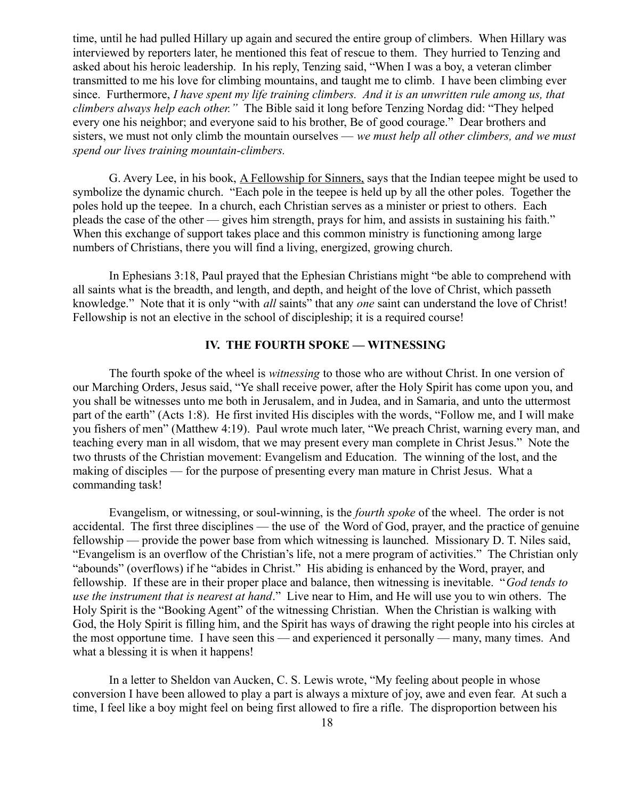time, until he had pulled Hillary up again and secured the entire group of climbers. When Hillary was interviewed by reporters later, he mentioned this feat of rescue to them. They hurried to Tenzing and asked about his heroic leadership. In his reply, Tenzing said, "When I was a boy, a veteran climber transmitted to me his love for climbing mountains, and taught me to climb. I have been climbing ever since. Furthermore, *I have spent my life training climbers. And it is an unwritten rule among us, that climbers always help each other."* The Bible said it long before Tenzing Nordag did: "They helped every one his neighbor; and everyone said to his brother, Be of good courage." Dear brothers and sisters, we must not only climb the mountain ourselves — *we must help all other climbers, and we must spend our lives training mountain-climbers.*

G. Avery Lee, in his book, A Fellowship for Sinners, says that the Indian teepee might be used to symbolize the dynamic church. "Each pole in the teepee is held up by all the other poles. Together the poles hold up the teepee. In a church, each Christian serves as a minister or priest to others. Each pleads the case of the other — gives him strength, prays for him, and assists in sustaining his faith." When this exchange of support takes place and this common ministry is functioning among large numbers of Christians, there you will find a living, energized, growing church.

 In Ephesians 3:18, Paul prayed that the Ephesian Christians might "be able to comprehend with all saints what is the breadth, and length, and depth, and height of the love of Christ, which passeth knowledge." Note that it is only "with *all* saints" that any *one* saint can understand the love of Christ! Fellowship is not an elective in the school of discipleship; it is a required course!

### **IV. THE FOURTH SPOKE — WITNESSING**

The fourth spoke of the wheel is *witnessing* to those who are without Christ. In one version of our Marching Orders, Jesus said, "Ye shall receive power, after the Holy Spirit has come upon you, and you shall be witnesses unto me both in Jerusalem, and in Judea, and in Samaria, and unto the uttermost part of the earth" (Acts 1:8). He first invited His disciples with the words, "Follow me, and I will make you fishers of men" (Matthew 4:19). Paul wrote much later, "We preach Christ, warning every man, and teaching every man in all wisdom, that we may present every man complete in Christ Jesus." Note the two thrusts of the Christian movement: Evangelism and Education. The winning of the lost, and the making of disciples — for the purpose of presenting every man mature in Christ Jesus. What a commanding task!

Evangelism, or witnessing, or soul-winning, is the *fourth spoke* of the wheel. The order is not accidental. The first three disciplines — the use of the Word of God, prayer, and the practice of genuine fellowship — provide the power base from which witnessing is launched. Missionary D. T. Niles said, "Evangelism is an overflow of the Christian's life, not a mere program of activities." The Christian only "abounds" (overflows) if he "abides in Christ." His abiding is enhanced by the Word, prayer, and fellowship. If these are in their proper place and balance, then witnessing is inevitable. "*God tends to use the instrument that is nearest at hand*." Live near to Him, and He will use you to win others. The Holy Spirit is the "Booking Agent" of the witnessing Christian. When the Christian is walking with God, the Holy Spirit is filling him, and the Spirit has ways of drawing the right people into his circles at the most opportune time. I have seen this — and experienced it personally — many, many times. And what a blessing it is when it happens!

In a letter to Sheldon van Aucken, C. S. Lewis wrote, "My feeling about people in whose conversion I have been allowed to play a part is always a mixture of joy, awe and even fear. At such a time, I feel like a boy might feel on being first allowed to fire a rifle. The disproportion between his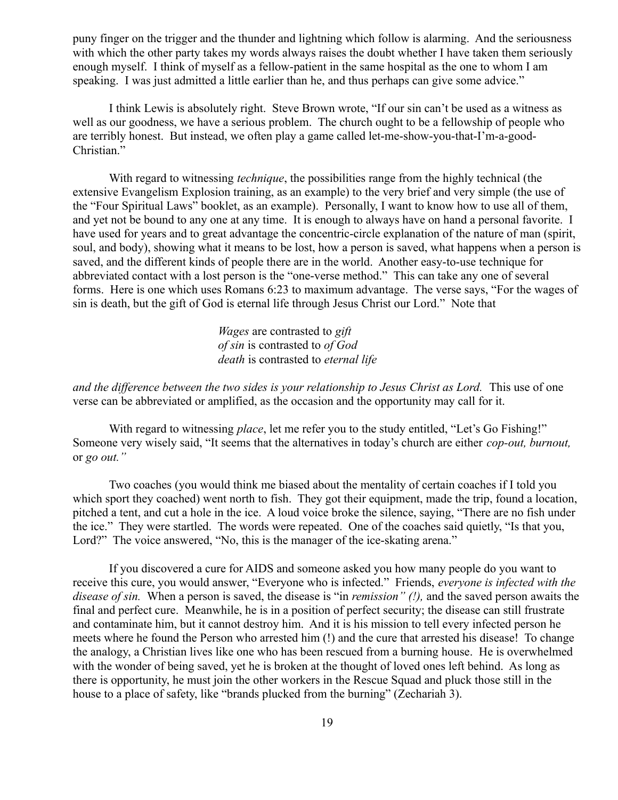puny finger on the trigger and the thunder and lightning which follow is alarming. And the seriousness with which the other party takes my words always raises the doubt whether I have taken them seriously enough myself. I think of myself as a fellow-patient in the same hospital as the one to whom I am speaking. I was just admitted a little earlier than he, and thus perhaps can give some advice."

I think Lewis is absolutely right. Steve Brown wrote, "If our sin can't be used as a witness as well as our goodness, we have a serious problem. The church ought to be a fellowship of people who are terribly honest. But instead, we often play a game called let-me-show-you-that-I'm-a-good-Christian."

With regard to witnessing *technique*, the possibilities range from the highly technical (the extensive Evangelism Explosion training, as an example) to the very brief and very simple (the use of the "Four Spiritual Laws" booklet, as an example). Personally, I want to know how to use all of them, and yet not be bound to any one at any time. It is enough to always have on hand a personal favorite. I have used for years and to great advantage the concentric-circle explanation of the nature of man (spirit, soul, and body), showing what it means to be lost, how a person is saved, what happens when a person is saved, and the different kinds of people there are in the world. Another easy-to-use technique for abbreviated contact with a lost person is the "one-verse method." This can take any one of several forms. Here is one which uses Romans 6:23 to maximum advantage. The verse says, "For the wages of sin is death, but the gift of God is eternal life through Jesus Christ our Lord." Note that

> *Wages* are contrasted to *gift of sin* is contrasted to *of God death* is contrasted to *eternal life*

*and the difference between the two sides is your relationship to Jesus Christ as Lord.* This use of one verse can be abbreviated or amplified, as the occasion and the opportunity may call for it.

With regard to witnessing *place*, let me refer you to the study entitled, "Let's Go Fishing!" Someone very wisely said, "It seems that the alternatives in today's church are either *cop-out, burnout,* or *go out."* 

Two coaches (you would think me biased about the mentality of certain coaches if I told you which sport they coached) went north to fish. They got their equipment, made the trip, found a location, pitched a tent, and cut a hole in the ice. A loud voice broke the silence, saying, "There are no fish under the ice." They were startled. The words were repeated. One of the coaches said quietly, "Is that you, Lord?" The voice answered, "No, this is the manager of the ice-skating arena."

If you discovered a cure for AIDS and someone asked you how many people do you want to receive this cure, you would answer, "Everyone who is infected." Friends, *everyone is infected with the disease of sin.* When a person is saved, the disease is "in *remission" (!),* and the saved person awaits the final and perfect cure. Meanwhile, he is in a position of perfect security; the disease can still frustrate and contaminate him, but it cannot destroy him. And it is his mission to tell every infected person he meets where he found the Person who arrested him (!) and the cure that arrested his disease! To change the analogy, a Christian lives like one who has been rescued from a burning house. He is overwhelmed with the wonder of being saved, yet he is broken at the thought of loved ones left behind. As long as there is opportunity, he must join the other workers in the Rescue Squad and pluck those still in the house to a place of safety, like "brands plucked from the burning" (Zechariah 3).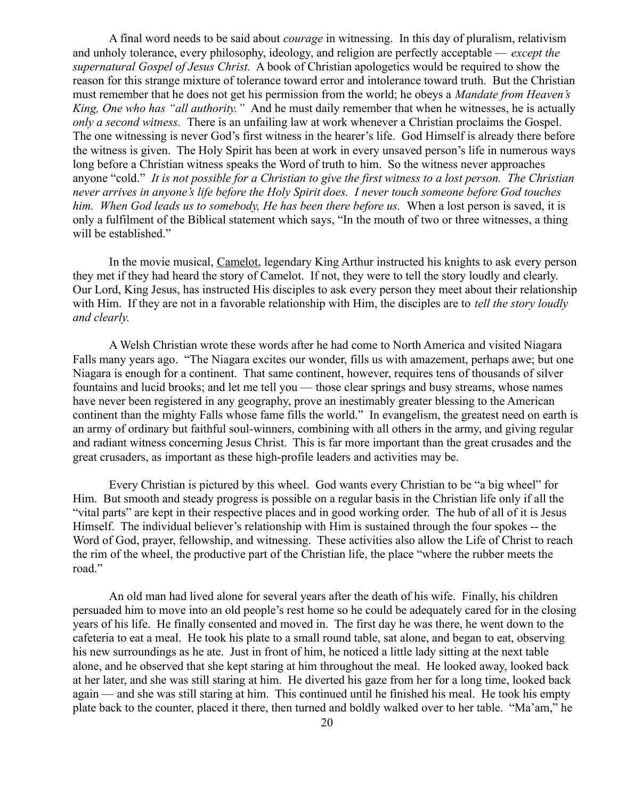A final word needs to be said about *courage* in witnessing. In this day of pluralism, relativism and unholy tolerance, every philosophy, ideology, and religion are perfectly acceptable — *except the supernatural Gospel of Jesus Christ.* A book of Christian apologetics would be required to show the reason for this strange mixture of tolerance toward error and intolerance toward truth. But the Christian must remember that he does not get his permission from the world; he obeys a *Mandate from Heaven's King, One who has "all authority."* And he must daily remember that when he witnesses, he is actually *only a second witness.* There is an unfailing law at work whenever a Christian proclaims the Gospel. The one witnessing is never God's first witness in the hearer's life. God Himself is already there before the witness is given. The Holy Spirit has been at work in every unsaved person's life in numerous ways long before a Christian witness speaks the Word of truth to him. So the witness never approaches anyone "cold." *It is not possible for a Christian to give the first witness to a lost person. The Christian never arrives in anyone's life before the Holy Spirit does. I never touch someone before God touches* him. When God leads us to somebody, He has been there before us. When a lost person is saved, it is only a fulfilment of the Biblical statement which says, "In the mouth of two or three witnesses, a thing will be established."

In the movie musical, Camelot, legendary King Arthur instructed his knights to ask every person they met if they had heard the story of Camelot. If not, they were to tell the story loudly and clearly. Our Lord, King Jesus, has instructed His disciples to ask every person they meet about their relationship with Him. If they are not in a favorable relationship with Him, the disciples are to *tell the story loudly and clearly.* 

A Welsh Christian wrote these words after he had come to North America and visited Niagara Falls many years ago. "The Niagara excites our wonder, fills us with amazement, perhaps awe; but one Niagara is enough for a continent. That same continent, however, requires tens of thousands of silver fountains and lucid brooks; and let me tell you — those clear springs and busy streams, whose names have never been registered in any geography, prove an inestimably greater blessing to the American continent than the mighty Falls whose fame fills the world." In evangelism, the greatest need on earth is an army of ordinary but faithful soul-winners, combining with all others in the army, and giving regular and radiant witness concerning Jesus Christ. This is far more important than the great crusades and the great crusaders, as important as these high-profile leaders and activities may be.

Every Christian is pictured by this wheel. God wants every Christian to be "a big wheel" for Him. But smooth and steady progress is possible on a regular basis in the Christian life only if all the "vital parts" are kept in their respective places and in good working order. The hub of all of it is Jesus Himself. The individual believer's relationship with Him is sustained through the four spokes -- the Word of God, prayer, fellowship, and witnessing. These activities also allow the Life of Christ to reach the rim of the wheel, the productive part of the Christian life, the place "where the rubber meets the road."

An old man had lived alone for several years after the death of his wife. Finally, his children persuaded him to move into an old people's rest home so he could be adequately cared for in the closing years of his life. He finally consented and moved in. The first day he was there, he went down to the cafeteria to eat a meal. He took his plate to a small round table, sat alone, and began to eat, observing his new surroundings as he ate. Just in front of him, he noticed a little lady sitting at the next table alone, and he observed that she kept staring at him throughout the meal. He looked away, looked back at her later, and she was still staring at him. He diverted his gaze from her for a long time, looked back again — and she was still staring at him. This continued until he finished his meal. He took his empty plate back to the counter, placed it there, then turned and boldly walked over to her table. "Ma'am," he